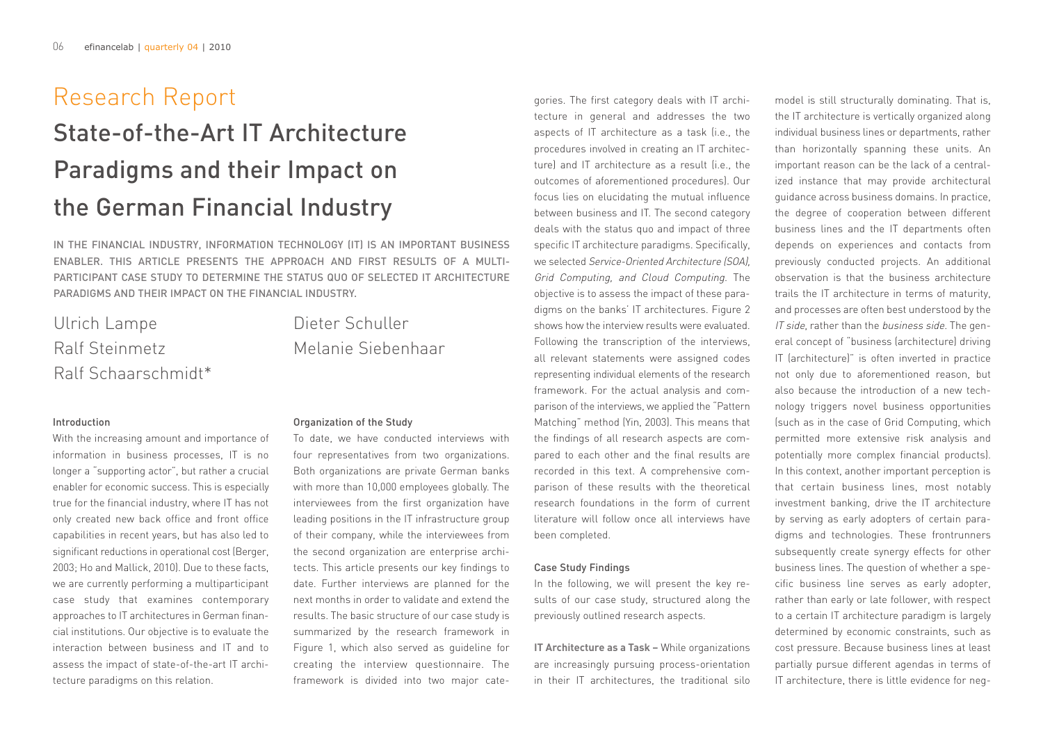# Introduction

With the increasing amount and importance of information in business processes, IT is no longer a "supporting actor", but rather a crucial enabler for economic success. This is especially true for the financial industry, where IT has not only created new back office and front office capabilities in recent years, but has also led to significant reductions in operational cost (Berger, 2003; Ho and Mallick, 2010). Due to these facts, we are currently performing a multiparticipant case study that examines contemporary approaches to IT architectures in German financial institutions. Our objective is to evaluate the interaction between business and IT and to assess the impact of state-of-the-art IT architecture paradigms on this relation.

# Organization of the Study

To date, we have conducted interviews with four representatives from two organizations. Both organizations are private German banks with more than 10,000 employees globally. The interviewees from the first organization have leading positions in the IT infrastructure group of their company, while the interviewees from the second organization are enterprise architects. This article presents our key findings to date. Further interviews are planned for the next months in order to validate and extend the results. The basic structure of our case study is summarized by the research framework in Figure 1, which also served as guideline for creating the interview questionnaire. The framework is divided into two major cate-

gories. The first category deals with IT archi tecture in general and addresses the two aspects of IT architecture as a task (i.e., the procedures involved in creating an IT architec ture) and IT architecture as a result (i.e., the outcomes of aforementioned procedures). Our focus lies on elucidating the mutual influence between business and IT. The second category deals with the status quo and impact of three specific IT architecture paradigms. Specifically, we selected Service-Oriented Architecture (SOA), Grid Computing, and Cloud Computing. The objective is to assess the impact of these para digms on the banks' IT architectures. Figure 2 shows how the interview results were evaluated. Following the transcription of the interviews, all relevant statements were assigned codes representing individual elements of the research framework. For the actual analysis and com parison of the interviews, we applied the "Pattern Matching" method (Yin, 2003). This means that the findings of all research aspects are com pared to each other and the final results are recorded in this text. A comprehensive com parison of these results with the theoretical research foundations in the form of current literature will follow once all interviews have been completed.

## Case Study Findings

In the following, we will present the key re sults of our case study, structured along the previously outlined research aspects.

**IT Architecture as a Task –** While organizations are increasingly pursuing process-orientation

 $\textbf{Res} = \textbf{C} + \textbf{C} + \textbf{C} + \textbf{C} + \textbf{C} + \textbf{C} + \textbf{C} + \textbf{C} + \textbf{C} + \textbf{C} + \textbf{C} + \textbf{C} + \textbf{C} + \textbf{C} + \textbf{C} + \textbf{C} + \textbf{C} + \textbf{C} + \textbf{C} + \textbf{C} + \textbf{C} + \textbf{C} + \textbf{C} + \textbf{C} + \textbf{C} + \textbf{C} + \textbf{C} + \textbf{C} + \textbf{C} + \textbf{C} + \textbf$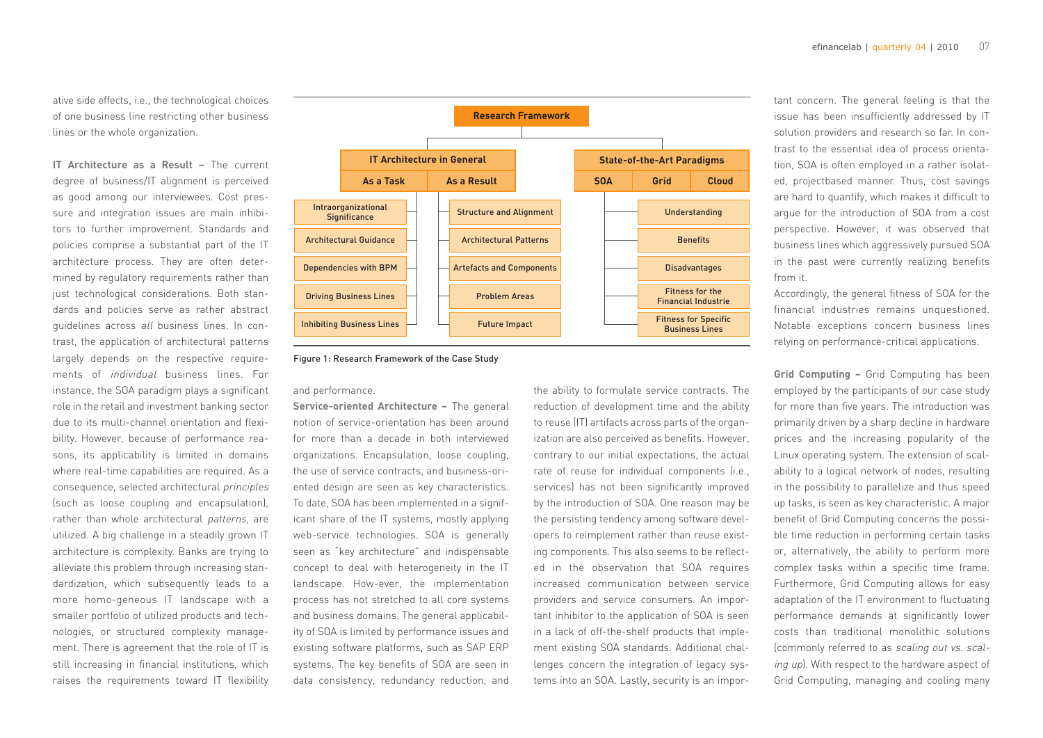ative side effects, i.e., the technological choices of one business line restricting other business lines or the whole organization.

**IT Architecture as a Result –** The current degree of business/IT alignment is perceived as good among our interviewees. Cost pressure and integration issues are main inhibitors to further improvement. Standards and policies comprise a substantial part of the IT architecture process. They are often determined by regulatory requirements rather than just technological considerations. Both standards and policies serve as rather abstract guidelines across all business lines. In contrast, the application of architectural patterns largely depends on the respective requirements of individual business lines. For instance, the SOA paradigm plays a significant role in the retail and investment banking sector due to its multi-channel orientation and flexibility. However, because of performance reasons, its applicability is limited in domains where real-time capabilities are required. As a consequence, selected architectural principles (such as loose coupling and encapsulation), rather than whole architectural patterns, are utilized. A big challenge in a steadily grown IT architecture is complexity. Banks are trying to alleviate this problem through increasing standardization, which subsequently leads to a more homo-geneous IT landscape with a smaller portfolio of utilized products and technologies, or structured complexity management. There is agreement that the role of IT is still increasing in financial institutions, which raises the requirements toward IT flexibility



### and performance.

**Service-oriented Architecture –** The general notion of service-orientation has been around for more than a decade in both interviewed organizations. Encapsulation, loose coupling, the use of service contracts, and business-oriented design are seen as key characteristics. To date, SOA has been implemented in a significant share of the IT systems, mostly applying web-service technologies. SOA is generally seen as "key architecture" and indispensable concept to deal with heterogeneity in the IT landscape. How-ever, the implementation process has not stretched to all core systems and business domains. The general applicability of SOA is limited by performance issues and existing software platforms, such as SAP ERP systems. The key benefits of SOA are seen in data consistency, redundancy reduction, and the ability to formulate service contracts. The reduction of development time and the ability to reuse (IT) artifacts across parts of the organization are also perceived as benefits. However, contrary to our initial expectations, the actual rate of reuse for individual components (i.e., services) has not been significantly improved by the introduction of SOA. One reason may be the persisting tendency among software developers to reimplement rather than reuse existing components. This also seems to be reflected in the observation that SOA requires increased communication between service providers and service consumers. An important inhibitor to the application of SOA is seen in a lack of off-the-shelf products that implement existing SOA standards. Additional challenges concern the integration of legacy systems into an SOA. Lastly, security is an important concern. The general feeling is that the issue has been insufficiently addressed by IT solution providers and research so far. In con trast to the essential idea of process orienta tion, SOA is often employed in a rather isolat ed, projectbased manner. Thus, cost savings are hard to quantify, which makes it difficult to argue for the introduction of SOA from a cost perspective. However, it was observed that business lines which aggressively pursued SOA in the past were currently realizing benefits from it.

Accordingly, the general fitness of SOA for the financial industries remains unquestioned. Notable exceptions concern business lines relying on performance-critical applications.

**Grid Computing –** Grid Computing has been employed by the participants of our case study for more than five years. The introduction was primarily driven by a sharp decline in hardware prices and the increasing popularity of the Linux operating system. The extension of scal ability to a logical network of nodes, resulting in the possibility to parallelize and thus speed up tasks, is seen as key characteristic. A major benefit of Grid Computing concerns the possi ble time reduction in performing certain tasks or, alternatively, the ability to perform more complex tasks within a specific time frame. Furthermore, Grid Computing allows for easy adaptation of the IT environment to fluctuating performance demands at significantly lower costs than traditional monolithic solutions (commonly referred to as scaling out vs. scal ing up). With respect to the hardware aspect of